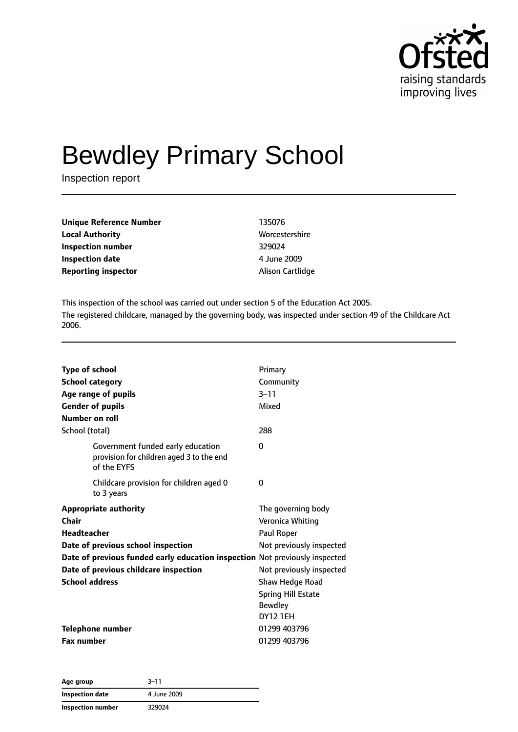

# Bewdley Primary School

Inspection report

| 135076           |
|------------------|
| Worcestershire   |
| 329024           |
| 4 June 2009      |
| Alison Cartlidge |
|                  |

This inspection of the school was carried out under section 5 of the Education Act 2005. The registered childcare, managed by the governing body, was inspected under section 49 of the Childcare Act 2006.

| <b>Type of school</b><br><b>School category</b><br>Age range of pupils                       | Primary<br>Community<br>$3 - 11$ |
|----------------------------------------------------------------------------------------------|----------------------------------|
| <b>Gender of pupils</b>                                                                      | Mixed                            |
| Number on roll                                                                               |                                  |
| School (total)                                                                               | 288                              |
| Government funded early education<br>provision for children aged 3 to the end<br>of the EYFS | 0                                |
| Childcare provision for children aged 0<br>to 3 years                                        | 0                                |
| <b>Appropriate authority</b>                                                                 | The governing body               |
| Chair                                                                                        | Veronica Whiting                 |
| <b>Headteacher</b>                                                                           | Paul Roper                       |
| Date of previous school inspection                                                           | Not previously inspected         |
| Date of previous funded early education inspection Not previously inspected                  |                                  |
| Date of previous childcare inspection                                                        | Not previously inspected         |
| <b>School address</b>                                                                        | Shaw Hedge Road                  |
|                                                                                              | <b>Spring Hill Estate</b>        |
|                                                                                              | <b>Bewdley</b>                   |
|                                                                                              | <b>DY12 1EH</b>                  |
| Telephone number                                                                             | 01299 403796                     |
| <b>Fax number</b>                                                                            | 01299 403796                     |

| Age group                | $3 - 11$    |  |
|--------------------------|-------------|--|
| Inspection date          | 4 June 2009 |  |
| <b>Inspection number</b> | 329024      |  |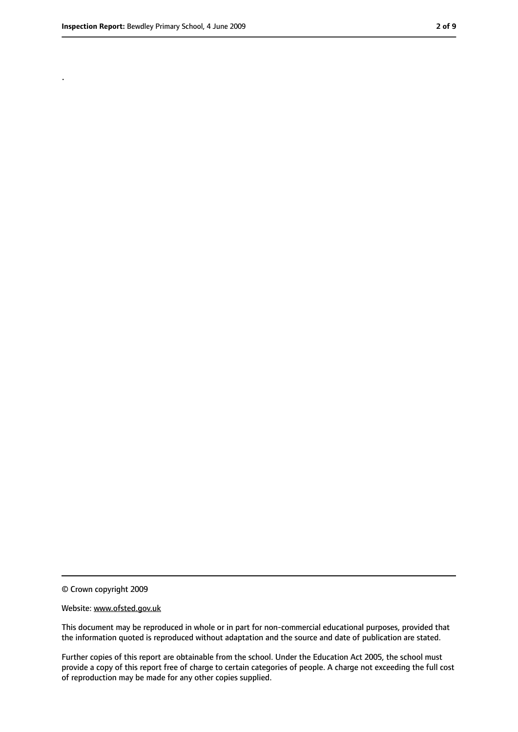.

<sup>©</sup> Crown copyright 2009

Website: www.ofsted.gov.uk

This document may be reproduced in whole or in part for non-commercial educational purposes, provided that the information quoted is reproduced without adaptation and the source and date of publication are stated.

Further copies of this report are obtainable from the school. Under the Education Act 2005, the school must provide a copy of this report free of charge to certain categories of people. A charge not exceeding the full cost of reproduction may be made for any other copies supplied.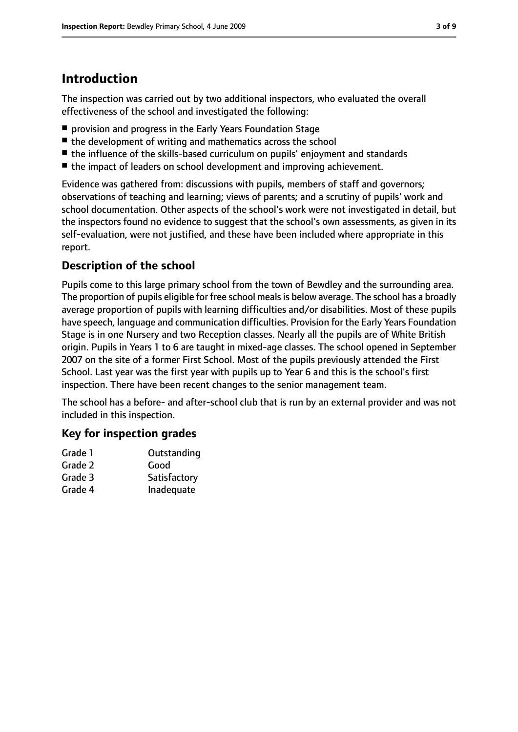## **Introduction**

The inspection was carried out by two additional inspectors, who evaluated the overall effectiveness of the school and investigated the following:

- provision and progress in the Early Years Foundation Stage
- the development of writing and mathematics across the school
- the influence of the skills-based curriculum on pupils' enjoyment and standards
- the impact of leaders on school development and improving achievement.

Evidence was gathered from: discussions with pupils, members of staff and governors; observations of teaching and learning; views of parents; and a scrutiny of pupils' work and school documentation. Other aspects of the school's work were not investigated in detail, but the inspectors found no evidence to suggest that the school's own assessments, as given in its self-evaluation, were not justified, and these have been included where appropriate in this report.

#### **Description of the school**

Pupils come to this large primary school from the town of Bewdley and the surrounding area. The proportion of pupils eligible for free school mealsis below average. The school has a broadly average proportion of pupils with learning difficulties and/or disabilities. Most of these pupils have speech, language and communication difficulties. Provision for the Early Years Foundation Stage is in one Nursery and two Reception classes. Nearly all the pupils are of White British origin. Pupils in Years 1 to 6 are taught in mixed-age classes. The school opened in September 2007 on the site of a former First School. Most of the pupils previously attended the First School. Last year was the first year with pupils up to Year 6 and this is the school's first inspection. There have been recent changes to the senior management team.

The school has a before- and after-school club that is run by an external provider and was not included in this inspection.

#### **Key for inspection grades**

| Grade 1 | Outstanding  |
|---------|--------------|
| Grade 2 | Good         |
| Grade 3 | Satisfactory |
| Grade 4 | Inadequate   |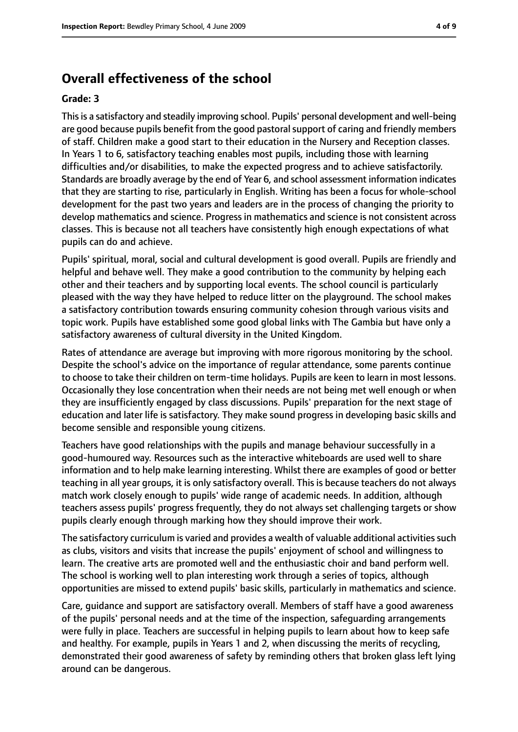#### **Overall effectiveness of the school**

#### **Grade: 3**

Thisis a satisfactory and steadily improving school. Pupils' personal development and well-being are good because pupils benefit from the good pastoral support of caring and friendly members of staff. Children make a good start to their education in the Nursery and Reception classes. In Years 1 to 6, satisfactory teaching enables most pupils, including those with learning difficulties and/or disabilities, to make the expected progress and to achieve satisfactorily. Standards are broadly average by the end of Year 6, and school assessment information indicates that they are starting to rise, particularly in English. Writing has been a focus for whole-school development for the past two years and leaders are in the process of changing the priority to develop mathematics and science. Progress in mathematics and science is not consistent across classes. This is because not all teachers have consistently high enough expectations of what pupils can do and achieve.

Pupils' spiritual, moral, social and cultural development is good overall. Pupils are friendly and helpful and behave well. They make a good contribution to the community by helping each other and their teachers and by supporting local events. The school council is particularly pleased with the way they have helped to reduce litter on the playground. The school makes a satisfactory contribution towards ensuring community cohesion through various visits and topic work. Pupils have established some good global links with The Gambia but have only a satisfactory awareness of cultural diversity in the United Kingdom.

Rates of attendance are average but improving with more rigorous monitoring by the school. Despite the school's advice on the importance of regular attendance, some parents continue to choose to take their children on term-time holidays. Pupils are keen to learn in most lessons. Occasionally they lose concentration when their needs are not being met well enough or when they are insufficiently engaged by class discussions. Pupils' preparation for the next stage of education and later life is satisfactory. They make sound progress in developing basic skills and become sensible and responsible young citizens.

Teachers have good relationships with the pupils and manage behaviour successfully in a good-humoured way. Resources such as the interactive whiteboards are used well to share information and to help make learning interesting. Whilst there are examples of good or better teaching in all year groups, it is only satisfactory overall. This is because teachers do not always match work closely enough to pupils' wide range of academic needs. In addition, although teachers assess pupils' progress frequently, they do not always set challenging targets or show pupils clearly enough through marking how they should improve their work.

The satisfactory curriculum is varied and provides a wealth of valuable additional activities such as clubs, visitors and visits that increase the pupils' enjoyment of school and willingness to learn. The creative arts are promoted well and the enthusiastic choir and band perform well. The school is working well to plan interesting work through a series of topics, although opportunities are missed to extend pupils' basic skills, particularly in mathematics and science.

Care, guidance and support are satisfactory overall. Members of staff have a good awareness of the pupils' personal needs and at the time of the inspection, safeguarding arrangements were fully in place. Teachers are successful in helping pupils to learn about how to keep safe and healthy. For example, pupils in Years 1 and 2, when discussing the merits of recycling, demonstrated their good awareness of safety by reminding others that broken glass left lying around can be dangerous.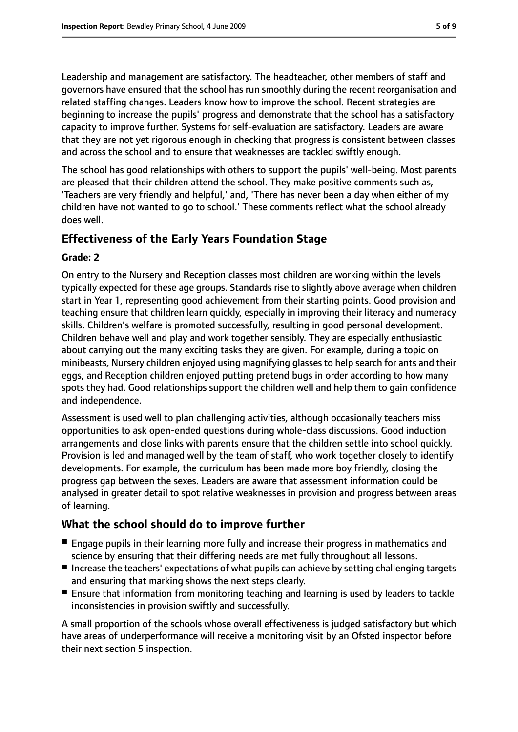Leadership and management are satisfactory. The headteacher, other members of staff and governors have ensured that the school has run smoothly during the recent reorganisation and related staffing changes. Leaders know how to improve the school. Recent strategies are beginning to increase the pupils' progress and demonstrate that the school has a satisfactory capacity to improve further. Systems for self-evaluation are satisfactory. Leaders are aware that they are not yet rigorous enough in checking that progress is consistent between classes and across the school and to ensure that weaknesses are tackled swiftly enough.

The school has good relationships with others to support the pupils' well-being. Most parents are pleased that their children attend the school. They make positive comments such as, 'Teachers are very friendly and helpful,' and, 'There has never been a day when either of my children have not wanted to go to school.' These comments reflect what the school already does well.

#### **Effectiveness of the Early Years Foundation Stage**

#### **Grade: 2**

On entry to the Nursery and Reception classes most children are working within the levels typically expected for these age groups. Standards rise to slightly above average when children start in Year 1, representing good achievement from their starting points. Good provision and teaching ensure that children learn quickly, especially in improving their literacy and numeracy skills. Children's welfare is promoted successfully, resulting in good personal development. Children behave well and play and work together sensibly. They are especially enthusiastic about carrying out the many exciting tasks they are given. For example, during a topic on minibeasts, Nursery children enjoyed using magnifying glasses to help search for ants and their eggs, and Reception children enjoyed putting pretend bugs in order according to how many spots they had. Good relationships support the children well and help them to gain confidence and independence.

Assessment is used well to plan challenging activities, although occasionally teachers miss opportunities to ask open-ended questions during whole-class discussions. Good induction arrangements and close links with parents ensure that the children settle into school quickly. Provision is led and managed well by the team of staff, who work together closely to identify developments. For example, the curriculum has been made more boy friendly, closing the progress gap between the sexes. Leaders are aware that assessment information could be analysed in greater detail to spot relative weaknesses in provision and progress between areas of learning.

#### **What the school should do to improve further**

- Engage pupils in their learning more fully and increase their progress in mathematics and science by ensuring that their differing needs are met fully throughout all lessons.
- Increase the teachers' expectations of what pupils can achieve by setting challenging targets and ensuring that marking shows the next steps clearly.
- Ensure that information from monitoring teaching and learning is used by leaders to tackle inconsistencies in provision swiftly and successfully.

A small proportion of the schools whose overall effectiveness is judged satisfactory but which have areas of underperformance will receive a monitoring visit by an Ofsted inspector before their next section 5 inspection.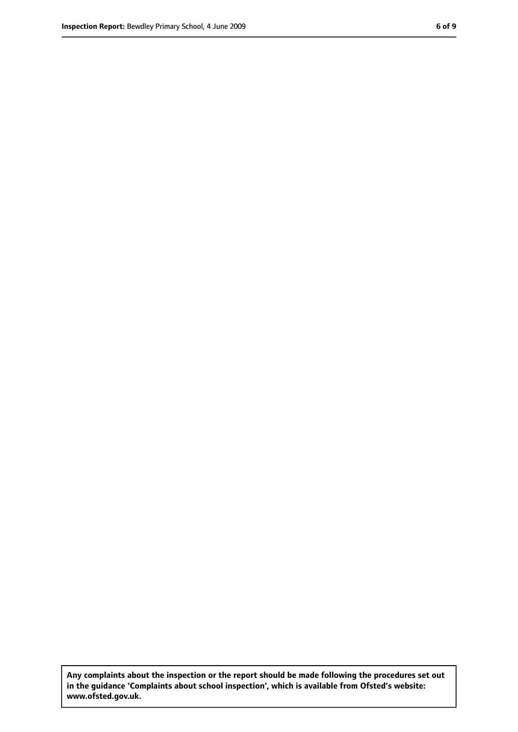**Any complaints about the inspection or the report should be made following the procedures set out in the guidance 'Complaints about school inspection', which is available from Ofsted's website: www.ofsted.gov.uk.**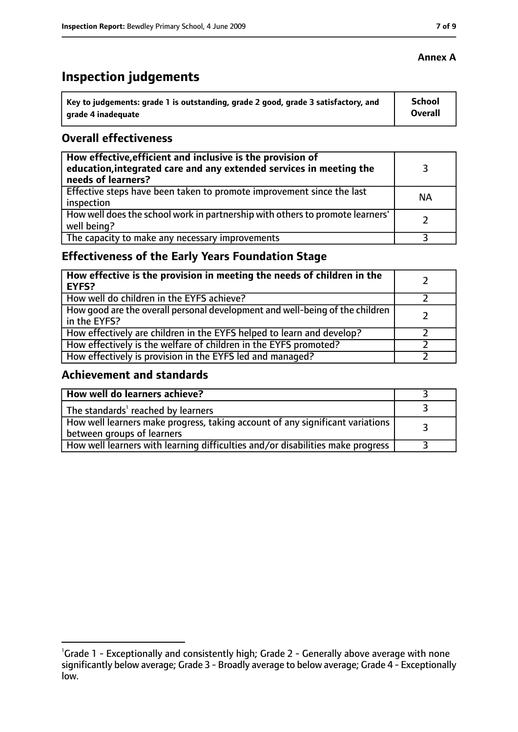# **Inspection judgements**

| ˈ Key to judgements: grade 1 is outstanding, grade 2 good, grade 3 satisfactory, and | <b>School</b>  |
|--------------------------------------------------------------------------------------|----------------|
| arade 4 inadequate                                                                   | <b>Overall</b> |

#### **Overall effectiveness**

| How effective, efficient and inclusive is the provision of<br>education, integrated care and any extended services in meeting the<br>needs of learners? |           |
|---------------------------------------------------------------------------------------------------------------------------------------------------------|-----------|
| Effective steps have been taken to promote improvement since the last<br>inspection                                                                     | <b>NA</b> |
| How well does the school work in partnership with others to promote learners'<br>well being?                                                            |           |
| The capacity to make any necessary improvements                                                                                                         |           |

## **Effectiveness of the Early Years Foundation Stage**

| How effective is the provision in meeting the needs of children in the<br>EYFS?              |  |
|----------------------------------------------------------------------------------------------|--|
| How well do children in the EYFS achieve?                                                    |  |
| How good are the overall personal development and well-being of the children<br>in the EYFS? |  |
| How effectively are children in the EYFS helped to learn and develop?                        |  |
| How effectively is the welfare of children in the EYFS promoted?                             |  |
| How effectively is provision in the EYFS led and managed?                                    |  |

#### **Achievement and standards**

| How well do learners achieve?                                                                               |  |
|-------------------------------------------------------------------------------------------------------------|--|
| The standards <sup>1</sup> reached by learners                                                              |  |
| How well learners make progress, taking account of any significant variations<br>between groups of learners |  |
| How well learners with learning difficulties and/or disabilities make progress                              |  |

#### **Annex A**

<sup>&</sup>lt;sup>1</sup>Grade 1 - Exceptionally and consistently high; Grade 2 - Generally above average with none significantly below average; Grade 3 - Broadly average to below average; Grade 4 - Exceptionally low.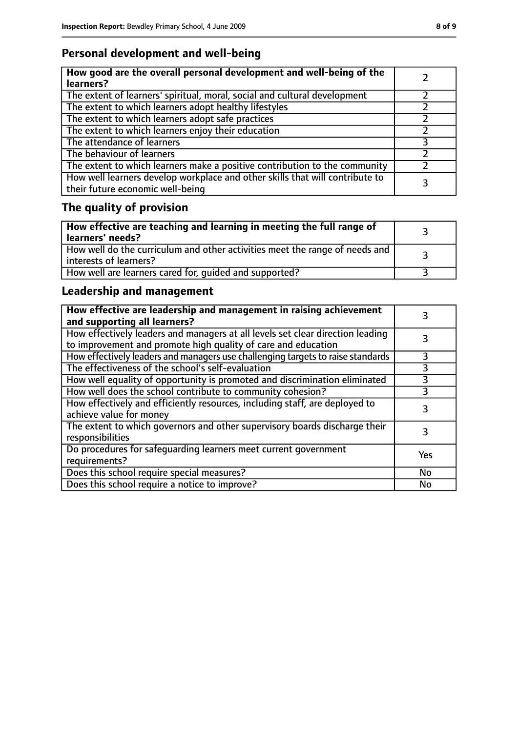## **Personal development and well-being**

| How good are the overall personal development and well-being of the<br>learners?                                 |  |
|------------------------------------------------------------------------------------------------------------------|--|
| The extent of learners' spiritual, moral, social and cultural development                                        |  |
| The extent to which learners adopt healthy lifestyles                                                            |  |
| The extent to which learners adopt safe practices                                                                |  |
| The extent to which learners enjoy their education                                                               |  |
| The attendance of learners                                                                                       |  |
| The behaviour of learners                                                                                        |  |
| The extent to which learners make a positive contribution to the community                                       |  |
| How well learners develop workplace and other skills that will contribute to<br>their future economic well-being |  |

# **The quality of provision**

| How effective are teaching and learning in meeting the full range of<br>learners' needs?                |  |
|---------------------------------------------------------------------------------------------------------|--|
| How well do the curriculum and other activities meet the range of needs and<br>  interests of learners? |  |
| How well are learners cared for, quided and supported?                                                  |  |

## **Leadership and management**

| How effective are leadership and management in raising achievement<br>and supporting all learners?                                              |     |
|-------------------------------------------------------------------------------------------------------------------------------------------------|-----|
| How effectively leaders and managers at all levels set clear direction leading<br>to improvement and promote high quality of care and education |     |
| How effectively leaders and managers use challenging targets to raise standards                                                                 |     |
| The effectiveness of the school's self-evaluation                                                                                               | 3   |
| How well equality of opportunity is promoted and discrimination eliminated                                                                      | 3   |
| How well does the school contribute to community cohesion?                                                                                      | 3   |
| How effectively and efficiently resources, including staff, are deployed to<br>achieve value for money                                          | 3   |
| The extent to which governors and other supervisory boards discharge their<br>responsibilities                                                  |     |
| Do procedures for safequarding learners meet current government<br>requirements?                                                                | Yes |
| Does this school require special measures?                                                                                                      | No  |
| Does this school require a notice to improve?                                                                                                   | No  |